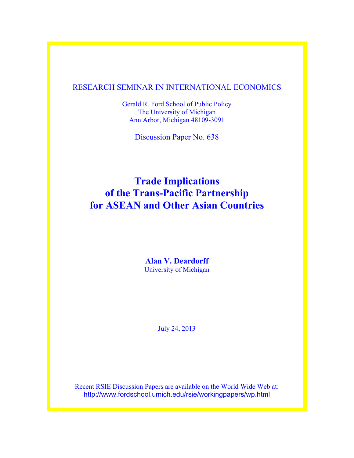# RESEARCH SEMINAR IN INTERNATIONAL ECONOMICS

Gerald R. Ford School of Public Policy The University of Michigan Ann Arbor, Michigan 48109-3091

Discussion Paper No. 638

# **Trade Implications of the Trans-Pacific Partnership for ASEAN and Other Asian Countries**

**Alan V. Deardorff** University of Michigan

July 24, 2013

Recent RSIE Discussion Papers are available on the World Wide Web at: http://www.fordschool.umich.edu/rsie/workingpapers/wp.html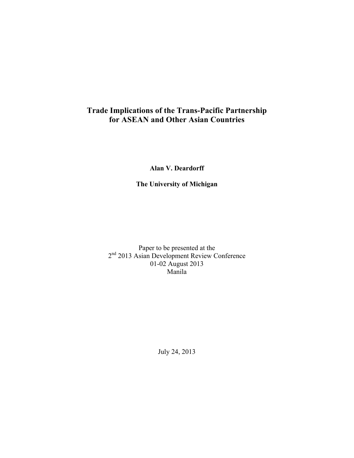# **Trade Implications of the Trans-Pacific Partnership for ASEAN and Other Asian Countries**

**Alan V. Deardorff**

**The University of Michigan**

Paper to be presented at the 2<sup>nd</sup> 2013 Asian Development Review Conference 01-02 August 2013 Manila

July 24, 2013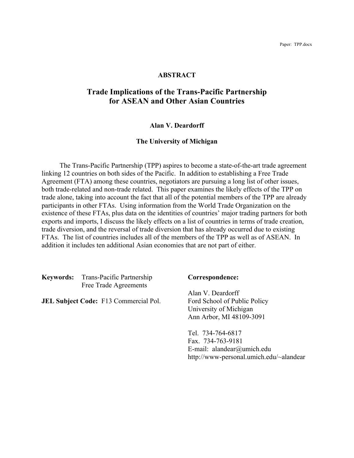#### **ABSTRACT**

# **Trade Implications of the Trans-Pacific Partnership for ASEAN and Other Asian Countries**

#### **Alan V. Deardorff**

#### **The University of Michigan**

The Trans-Pacific Partnership (TPP) aspires to become a state-of-the-art trade agreement linking 12 countries on both sides of the Pacific. In addition to establishing a Free Trade Agreement (FTA) among these countries, negotiators are pursuing a long list of other issues, both trade-related and non-trade related. This paper examines the likely effects of the TPP on trade alone, taking into account the fact that all of the potential members of the TPP are already participants in other FTAs. Using information from the World Trade Organization on the existence of these FTAs, plus data on the identities of countries' major trading partners for both exports and imports, I discuss the likely effects on a list of countries in terms of trade creation, trade diversion, and the reversal of trade diversion that has already occurred due to existing FTAs. The list of countries includes all of the members of the TPP as well as of ASEAN. In addition it includes ten additional Asian economies that are not part of either.

**Keywords:** Trans-Pacific Partnership **Correspondence:** Free Trade Agreements

**JEL Subject Code:** F13 Commercial Pol. Ford School of Public Policy

Alan V. Deardorff University of Michigan Ann Arbor, MI 48109-3091

Tel. 734-764-6817 Fax. 734-763-9181 E-mail: alandear@umich.edu http://www-personal.umich.edu/~alandear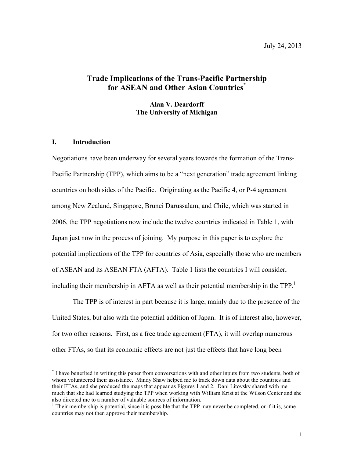# **Trade Implications of the Trans-Pacific Partnership for ASEAN and Other Asian Countries\***

**Alan V. Deardorff The University of Michigan**

#### **I. Introduction**

Negotiations have been underway for several years towards the formation of the Trans-Pacific Partnership (TPP), which aims to be a "next generation" trade agreement linking countries on both sides of the Pacific. Originating as the Pacific 4, or P-4 agreement among New Zealand, Singapore, Brunei Darussalam, and Chile, which was started in 2006, the TPP negotiations now include the twelve countries indicated in Table 1, with Japan just now in the process of joining. My purpose in this paper is to explore the potential implications of the TPP for countries of Asia, especially those who are members of ASEAN and its ASEAN FTA (AFTA). Table 1 lists the countries I will consider, including their membership in AFTA as well as their potential membership in the TPP.<sup>1</sup>

The TPP is of interest in part because it is large, mainly due to the presence of the United States, but also with the potential addition of Japan. It is of interest also, however, for two other reasons. First, as a free trade agreement (FTA), it will overlap numerous other FTAs, so that its economic effects are not just the effects that have long been

 <sup>\*</sup> I have benefited in writing this paper from conversations with and other inputs from two students, both of whom volunteered their assistance. Mindy Shaw helped me to track down data about the countries and their FTAs, and she produced the maps that appear as Figures 1 and 2. Dani Litovsky shared with me much that she had learned studying the TPP when working with William Krist at the Wilson Center and she also directed me to a number of valuable sources of information.

<sup>&</sup>lt;sup>1</sup> Their membership is potential, since it is possible that the TPP may never be completed, or if it is, some countries may not then approve their membership.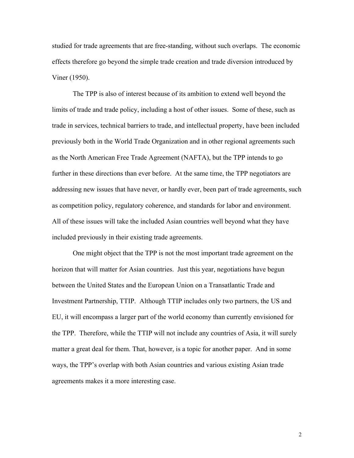studied for trade agreements that are free-standing, without such overlaps. The economic effects therefore go beyond the simple trade creation and trade diversion introduced by Viner (1950).

The TPP is also of interest because of its ambition to extend well beyond the limits of trade and trade policy, including a host of other issues. Some of these, such as trade in services, technical barriers to trade, and intellectual property, have been included previously both in the World Trade Organization and in other regional agreements such as the North American Free Trade Agreement (NAFTA), but the TPP intends to go further in these directions than ever before. At the same time, the TPP negotiators are addressing new issues that have never, or hardly ever, been part of trade agreements, such as competition policy, regulatory coherence, and standards for labor and environment. All of these issues will take the included Asian countries well beyond what they have included previously in their existing trade agreements.

One might object that the TPP is not the most important trade agreement on the horizon that will matter for Asian countries. Just this year, negotiations have begun between the United States and the European Union on a Transatlantic Trade and Investment Partnership, TTIP. Although TTIP includes only two partners, the US and EU, it will encompass a larger part of the world economy than currently envisioned for the TPP. Therefore, while the TTIP will not include any countries of Asia, it will surely matter a great deal for them. That, however, is a topic for another paper. And in some ways, the TPP's overlap with both Asian countries and various existing Asian trade agreements makes it a more interesting case.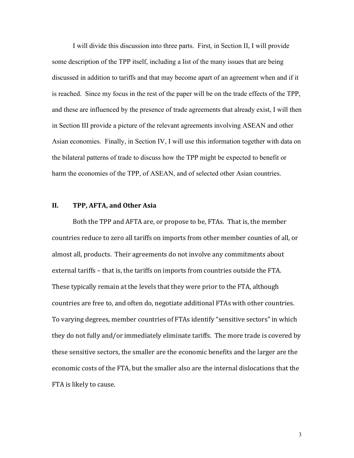I will divide this discussion into three parts. First, in Section II, I will provide some description of the TPP itself, including a list of the many issues that are being discussed in addition to tariffs and that may become apart of an agreement when and if it is reached. Since my focus in the rest of the paper will be on the trade effects of the TPP, and these are influenced by the presence of trade agreements that already exist, I will then in Section III provide a picture of the relevant agreements involving ASEAN and other Asian economies. Finally, in Section IV, I will use this information together with data on the bilateral patterns of trade to discuss how the TPP might be expected to benefit or harm the economies of the TPP, of ASEAN, and of selected other Asian countries.

#### **II. TPP, AFTA, and Other Asia**

Both the TPP and AFTA are, or propose to be, FTAs. That is, the member countries reduce to zero all tariffs on imports from other member counties of all, or almost all, products. Their agreements do not involve any commitments about external tariffs – that is, the tariffs on imports from countries outside the FTA. These typically remain at the levels that they were prior to the FTA, although countries are free to, and often do, negotiate additional FTAs with other countries. To varying degrees, member countries of FTAs identify "sensitive sectors" in which they do not fully and/or immediately eliminate tariffs. The more trade is covered by these sensitive sectors, the smaller are the economic benefits and the larger are the economic costs of the FTA, but the smaller also are the internal dislocations that the FTA is likely to cause.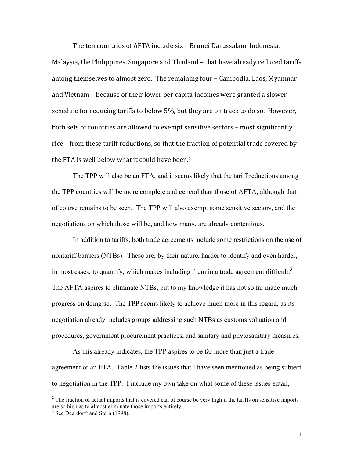The ten countries of AFTA include six – Brunei Darussalam, Indonesia, Malaysia, the Philippines, Singapore and Thailand – that have already reduced tariffs among themselves to almost zero. The remaining four - Cambodia, Laos, Myanmar and Vietnam – because of their lower per capita incomes were granted a slower schedule for reducing tariffs to below 5%, but they are on track to do so. However, both sets of countries are allowed to exempt sensitive sectors – most significantly rice – from these tariff reductions, so that the fraction of potential trade covered by the FTA is well below what it could have been.<sup>2</sup>

The TPP will also be an FTA, and it seems likely that the tariff reductions among the TPP countries will be more complete and general than those of AFTA, although that of course remains to be seen. The TPP will also exempt some sensitive sectors, and the negotiations on which those will be, and how many, are already contentious.

In addition to tariffs, both trade agreements include some restrictions on the use of nontariff barriers (NTBs). These are, by their nature, harder to identify and even harder, in most cases, to quantify, which makes including them in a trade agreement difficult.<sup>3</sup> The AFTA aspires to eliminate NTBs, but to my knowledge it has not so far made much progress on doing so. The TPP seems likely to achieve much more in this regard, as its negotiation already includes groups addressing such NTBs as customs valuation and procedures, government procurement practices, and sanitary and phytosanitary measures.

As this already indicates, the TPP aspires to be far more than just a trade agreement or an FTA. Table 2 lists the issues that I have seen mentioned as being subject to negotiation in the TPP. I include my own take on what some of these issues entail,

 $2$  The fraction of actual imports that is covered can of course be very high if the tariffs on sensitive imports are so high as to almost eliminate those imports entirely.

<sup>&</sup>lt;sup>3</sup> See Deardorff and Stern (1998).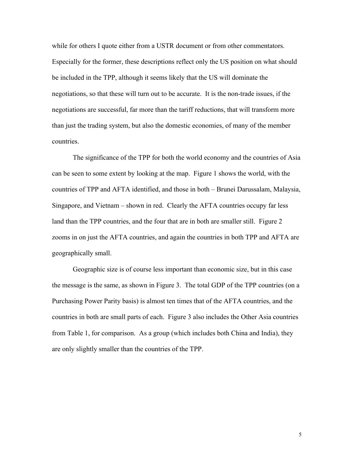while for others I quote either from a USTR document or from other commentators. Especially for the former, these descriptions reflect only the US position on what should be included in the TPP, although it seems likely that the US will dominate the negotiations, so that these will turn out to be accurate. It is the non-trade issues, if the negotiations are successful, far more than the tariff reductions, that will transform more than just the trading system, but also the domestic economies, of many of the member countries.

The significance of the TPP for both the world economy and the countries of Asia can be seen to some extent by looking at the map. Figure 1 shows the world, with the countries of TPP and AFTA identified, and those in both – Brunei Darussalam, Malaysia, Singapore, and Vietnam – shown in red. Clearly the AFTA countries occupy far less land than the TPP countries, and the four that are in both are smaller still. Figure 2 zooms in on just the AFTA countries, and again the countries in both TPP and AFTA are geographically small.

Geographic size is of course less important than economic size, but in this case the message is the same, as shown in Figure 3. The total GDP of the TPP countries (on a Purchasing Power Parity basis) is almost ten times that of the AFTA countries, and the countries in both are small parts of each. Figure 3 also includes the Other Asia countries from Table 1, for comparison. As a group (which includes both China and India), they are only slightly smaller than the countries of the TPP.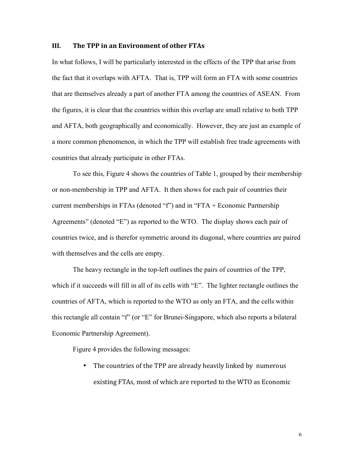#### **III.** The TPP in an Environment of other FTAs

In what follows, I will be particularly interested in the effects of the TPP that arise from the fact that it overlaps with AFTA. That is, TPP will form an FTA with some countries that are themselves already a part of another FTA among the countries of ASEAN. From the figures, it is clear that the countries within this overlap are small relative to both TPP and AFTA, both geographically and economically. However, they are just an example of a more common phenomenon, in which the TPP will establish free trade agreements with countries that already participate in other FTAs.

To see this, Figure 4 shows the countries of Table 1, grouped by their membership or non-membership in TPP and AFTA. It then shows for each pair of countries their current memberships in FTAs (denoted "f") and in "FTA + Economic Partnership Agreements" (denoted "E") as reported to the WTO. The display shows each pair of countries twice, and is therefor symmetric around its diagonal, where countries are paired with themselves and the cells are empty.

The heavy rectangle in the top-left outlines the pairs of countries of the TPP, which if it succeeds will fill in all of its cells with "E". The lighter rectangle outlines the countries of AFTA, which is reported to the WTO as only an FTA, and the cells within this rectangle all contain "f" (or "E" for Brunei-Singapore, which also reports a bilateral Economic Partnership Agreement).

Figure 4 provides the following messages:

• The countries of the TPP are already heavily linked by numerous existing FTAs, most of which are reported to the WTO as Economic

6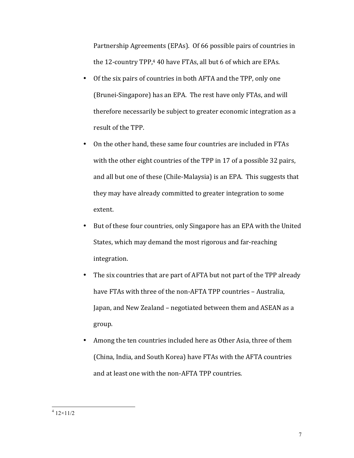Partnership Agreements (EPAs). Of 66 possible pairs of countries in the  $12$ -country TPP,<sup>4</sup> 40 have FTAs, all but 6 of which are EPAs.

- Of the six pairs of countries in both AFTA and the TPP, only one (Brunei-Singapore) has an EPA. The rest have only FTAs, and will therefore necessarily be subject to greater economic integration as a result of the TPP.
- On the other hand, these same four countries are included in FTAs with the other eight countries of the TPP in 17 of a possible 32 pairs, and all but one of these (Chile-Malaysia) is an EPA. This suggests that they may have already committed to greater integration to some extent.
- But of these four countries, only Singapore has an EPA with the United States, which may demand the most rigorous and far-reaching integration.
- The six countries that are part of AFTA but not part of the TPP already have FTAs with three of the non-AFTA TPP countries - Australia, Japan, and New Zealand – negotiated between them and ASEAN as a group.
- Among the ten countries included here as Other Asia, three of them (China, India, and South Korea) have FTAs with the AFTA countries and at least one with the non-AFTA TPP countries.

 $4\frac{12\times11}{2}$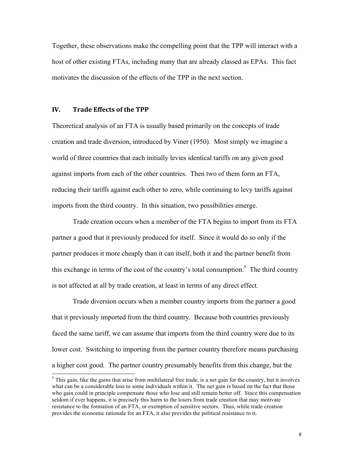Together, these observations make the compelling point that the TPP will interact with a host of other existing FTAs, including many that are already classed as EPAs. This fact motivates the discussion of the effects of the TPP in the next section.

#### **IV. Trade Effects of the TPP**

Theoretical analysis of an FTA is usually based primarily on the concepts of trade creation and trade diversion, introduced by Viner (1950). Most simply we imagine a world of three countries that each initially levies identical tariffs on any given good against imports from each of the other countries. Then two of them form an FTA, reducing their tariffs against each other to zero, while continuing to levy tariffs against imports from the third country. In this situation, two possibilities emerge.

Trade creation occurs when a member of the FTA begins to import from its FTA partner a good that it previously produced for itself. Since it would do so only if the partner produces it more cheaply than it can itself, both it and the partner benefit from this exchange in terms of the cost of the country's total consumption.<sup>5</sup> The third country is not affected at all by trade creation, at least in terms of any direct effect.

Trade diversion occurs when a member country imports from the partner a good that it previously imported from the third country. Because both countries previously faced the same tariff, we can assume that imports from the third country were due to its lower cost. Switching to importing from the partner country therefore means purchasing a higher cost good. The partner country presumably benefits from this change, but the

 $<sup>5</sup>$  This gain, like the gains that arise from multilateral free trade, is a net gain for the country, but it involves</sup> what can be a considerable loss to some individuals within it. The net gain is based on the fact that those who gain could in principle compensate those who lose and still remain better off. Since this compensation seldom if ever happens, it is precisely this harm to the losers from trade creation that may motivate resistance to the formation of an FTA, or exemption of sensitive sectors. Thus, while trade creation provides the economic rationale for an FTA, it also provides the political resistance to it.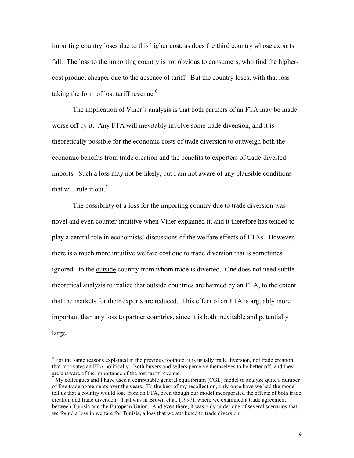importing country loses due to this higher cost, as does the third country whose exports fall. The loss to the importing country is not obvious to consumers, who find the highercost product cheaper due to the absence of tariff. But the country loses, with that loss taking the form of lost tariff revenue.<sup>6</sup>

The implication of Viner's analysis is that both partners of an FTA may be made worse off by it. Any FTA will inevitably involve some trade diversion, and it is theoretically possible for the economic costs of trade diversion to outweigh both the economic benefits from trade creation and the benefits to exporters of trade-diverted imports. Such a loss may not be likely, but I am not aware of any plausible conditions that will rule it out.<sup>7</sup>

The possibility of a loss for the importing country due to trade diversion was novel and even counter-intuitive when Viner explained it, and it therefore has tended to play a central role in economists' discussions of the welfare effects of FTAs. However, there is a much more intuitive welfare cost due to trade diversion that is sometimes ignored: to the outside country from whom trade is diverted. One does not need subtle theoretical analysis to realize that outside countries are harmed by an FTA, to the extent that the markets for their exports are reduced. This effect of an FTA is arguably more important than any loss to partner countries, since it is both inevitable and potentially large.

<sup>&</sup>lt;sup>6</sup> For the same reasons explained in the previous footnote, it is usually trade diversion, not trade creation, that motivates an FTA politically. Both buyers and sellers perceive themselves to be better off, and they are unaware of the importance of the lost tariff revenue.

 $<sup>7</sup>$  My colleagues and I have used a computable general equilibrium (CGE) model to analyze quite a number</sup> of free trade agreements over the years. To the best of my recollection, only once have we had the model tell us that a country would lose from an FTA, even though our model incorporated the effects of both trade creation and trade diversion. That was in Brown et al. (1997), where we examined a trade agreement between Tunisia and the European Union. And even there, it was only under one of several scenarios that we found a loss in welfare for Tunisia, a loss that we attributed to trade diversion.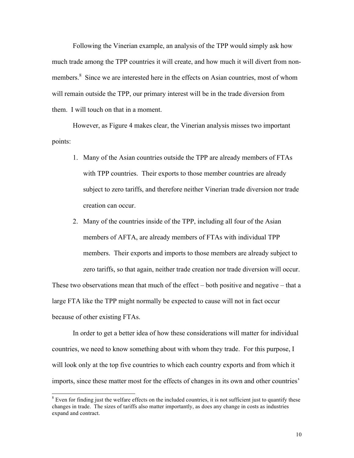Following the Vinerian example, an analysis of the TPP would simply ask how much trade among the TPP countries it will create, and how much it will divert from nonmembers.<sup>8</sup> Since we are interested here in the effects on Asian countries, most of whom will remain outside the TPP, our primary interest will be in the trade diversion from them. I will touch on that in a moment.

However, as Figure 4 makes clear, the Vinerian analysis misses two important points:

- 1. Many of the Asian countries outside the TPP are already members of FTAs with TPP countries. Their exports to those member countries are already subject to zero tariffs, and therefore neither Vinerian trade diversion nor trade creation can occur.
- 2. Many of the countries inside of the TPP, including all four of the Asian members of AFTA, are already members of FTAs with individual TPP members. Their exports and imports to those members are already subject to zero tariffs, so that again, neither trade creation nor trade diversion will occur.

These two observations mean that much of the effect – both positive and negative – that a large FTA like the TPP might normally be expected to cause will not in fact occur because of other existing FTAs.

In order to get a better idea of how these considerations will matter for individual countries, we need to know something about with whom they trade. For this purpose, I will look only at the top five countries to which each country exports and from which it imports, since these matter most for the effects of changes in its own and other countries'

 $8$  Even for finding just the welfare effects on the included countries, it is not sufficient just to quantify these changes in trade. The sizes of tariffs also matter importantly, as does any change in costs as industries expand and contract.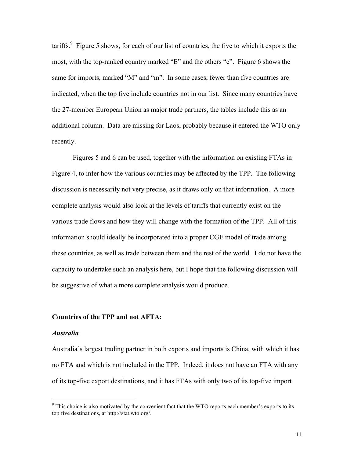tariffs. $9$  Figure 5 shows, for each of our list of countries, the five to which it exports the most, with the top-ranked country marked "E" and the others "e". Figure 6 shows the same for imports, marked "M" and "m". In some cases, fewer than five countries are indicated, when the top five include countries not in our list. Since many countries have the 27-member European Union as major trade partners, the tables include this as an additional column. Data are missing for Laos, probably because it entered the WTO only recently.

Figures 5 and 6 can be used, together with the information on existing FTAs in Figure 4, to infer how the various countries may be affected by the TPP. The following discussion is necessarily not very precise, as it draws only on that information. A more complete analysis would also look at the levels of tariffs that currently exist on the various trade flows and how they will change with the formation of the TPP. All of this information should ideally be incorporated into a proper CGE model of trade among these countries, as well as trade between them and the rest of the world. I do not have the capacity to undertake such an analysis here, but I hope that the following discussion will be suggestive of what a more complete analysis would produce.

#### **Countries of the TPP and not AFTA:**

#### *Australia*

Australia's largest trading partner in both exports and imports is China, with which it has no FTA and which is not included in the TPP. Indeed, it does not have an FTA with any of its top-five export destinations, and it has FTAs with only two of its top-five import

 $9$  This choice is also motivated by the convenient fact that the WTO reports each member's exports to its top five destinations, at http://stat.wto.org/.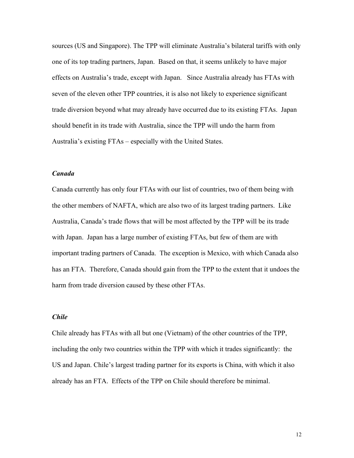sources (US and Singapore). The TPP will eliminate Australia's bilateral tariffs with only one of its top trading partners, Japan. Based on that, it seems unlikely to have major effects on Australia's trade, except with Japan. Since Australia already has FTAs with seven of the eleven other TPP countries, it is also not likely to experience significant trade diversion beyond what may already have occurred due to its existing FTAs. Japan should benefit in its trade with Australia, since the TPP will undo the harm from Australia's existing FTAs – especially with the United States.

### *Canada*

Canada currently has only four FTAs with our list of countries, two of them being with the other members of NAFTA, which are also two of its largest trading partners. Like Australia, Canada's trade flows that will be most affected by the TPP will be its trade with Japan. Japan has a large number of existing FTAs, but few of them are with important trading partners of Canada. The exception is Mexico, with which Canada also has an FTA. Therefore, Canada should gain from the TPP to the extent that it undoes the harm from trade diversion caused by these other FTAs.

#### *Chile*

Chile already has FTAs with all but one (Vietnam) of the other countries of the TPP, including the only two countries within the TPP with which it trades significantly: the US and Japan. Chile's largest trading partner for its exports is China, with which it also already has an FTA. Effects of the TPP on Chile should therefore be minimal.

12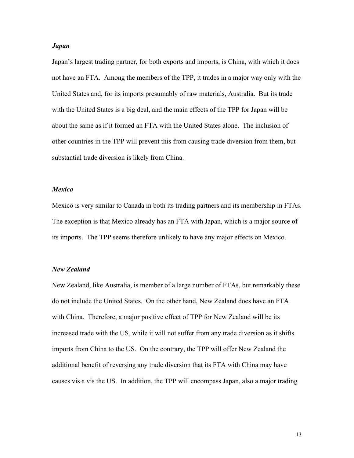#### *Japan*

Japan's largest trading partner, for both exports and imports, is China, with which it does not have an FTA. Among the members of the TPP, it trades in a major way only with the United States and, for its imports presumably of raw materials, Australia. But its trade with the United States is a big deal, and the main effects of the TPP for Japan will be about the same as if it formed an FTA with the United States alone. The inclusion of other countries in the TPP will prevent this from causing trade diversion from them, but substantial trade diversion is likely from China.

#### *Mexico*

Mexico is very similar to Canada in both its trading partners and its membership in FTAs. The exception is that Mexico already has an FTA with Japan, which is a major source of its imports. The TPP seems therefore unlikely to have any major effects on Mexico.

#### *New Zealand*

New Zealand, like Australia, is member of a large number of FTAs, but remarkably these do not include the United States. On the other hand, New Zealand does have an FTA with China. Therefore, a major positive effect of TPP for New Zealand will be its increased trade with the US, while it will not suffer from any trade diversion as it shifts imports from China to the US. On the contrary, the TPP will offer New Zealand the additional benefit of reversing any trade diversion that its FTA with China may have causes vis a vis the US. In addition, the TPP will encompass Japan, also a major trading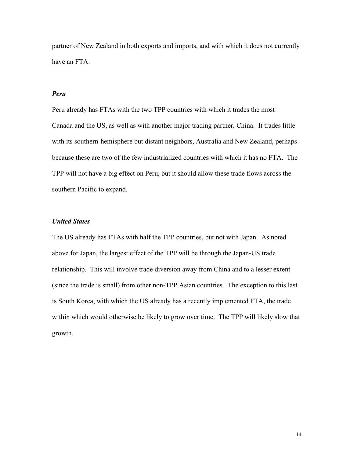partner of New Zealand in both exports and imports, and with which it does not currently have an FTA.

#### *Peru*

Peru already has FTAs with the two TPP countries with which it trades the most – Canada and the US, as well as with another major trading partner, China. It trades little with its southern-hemisphere but distant neighbors, Australia and New Zealand, perhaps because these are two of the few industrialized countries with which it has no FTA. The TPP will not have a big effect on Peru, but it should allow these trade flows across the southern Pacific to expand.

#### *United States*

The US already has FTAs with half the TPP countries, but not with Japan. As noted above for Japan, the largest effect of the TPP will be through the Japan-US trade relationship. This will involve trade diversion away from China and to a lesser extent (since the trade is small) from other non-TPP Asian countries. The exception to this last is South Korea, with which the US already has a recently implemented FTA, the trade within which would otherwise be likely to grow over time. The TPP will likely slow that growth.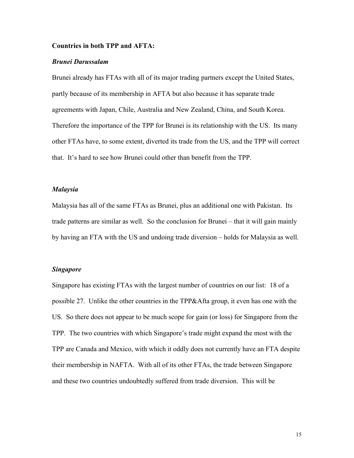#### **Countries in both TPP and AFTA:**

#### *Brunei Darussalam*

Brunei already has FTAs with all of its major trading partners except the United States, partly because of its membership in AFTA but also because it has separate trade agreements with Japan, Chile, Australia and New Zealand, China, and South Korea. Therefore the importance of the TPP for Brunei is its relationship with the US. Its many other FTAs have, to some extent, diverted its trade from the US, and the TPP will correct that. It's hard to see how Brunei could other than benefit from the TPP.

#### *Malaysia*

Malaysia has all of the same FTAs as Brunei, plus an additional one with Pakistan. Its trade patterns are similar as well. So the conclusion for Brunei – that it will gain mainly by having an FTA with the US and undoing trade diversion – holds for Malaysia as well.

#### *Singapore*

Singapore has existing FTAs with the largest number of countries on our list: 18 of a possible 27. Unlike the other countries in the TPP&Afta group, it even has one with the US. So there does not appear to be much scope for gain (or loss) for Singapore from the TPP. The two countries with which Singapore's trade might expand the most with the TPP are Canada and Mexico, with which it oddly does not currently have an FTA despite their membership in NAFTA. With all of its other FTAs, the trade between Singapore and these two countries undoubtedly suffered from trade diversion. This will be

15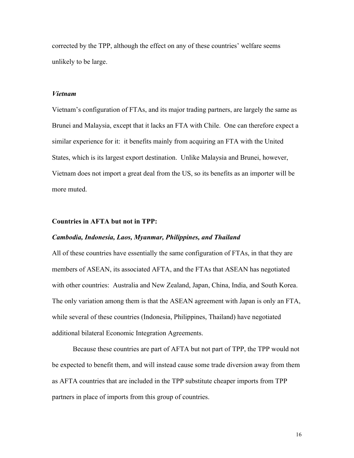corrected by the TPP, although the effect on any of these countries' welfare seems unlikely to be large.

#### *Vietnam*

Vietnam's configuration of FTAs, and its major trading partners, are largely the same as Brunei and Malaysia, except that it lacks an FTA with Chile. One can therefore expect a similar experience for it: it benefits mainly from acquiring an FTA with the United States, which is its largest export destination. Unlike Malaysia and Brunei, however, Vietnam does not import a great deal from the US, so its benefits as an importer will be more muted.

#### **Countries in AFTA but not in TPP:**

#### *Cambodia, Indonesia, Laos, Myanmar, Philippines, and Thailand*

All of these countries have essentially the same configuration of FTAs, in that they are members of ASEAN, its associated AFTA, and the FTAs that ASEAN has negotiated with other countries: Australia and New Zealand, Japan, China, India, and South Korea. The only variation among them is that the ASEAN agreement with Japan is only an FTA, while several of these countries (Indonesia, Philippines, Thailand) have negotiated additional bilateral Economic Integration Agreements.

Because these countries are part of AFTA but not part of TPP, the TPP would not be expected to benefit them, and will instead cause some trade diversion away from them as AFTA countries that are included in the TPP substitute cheaper imports from TPP partners in place of imports from this group of countries.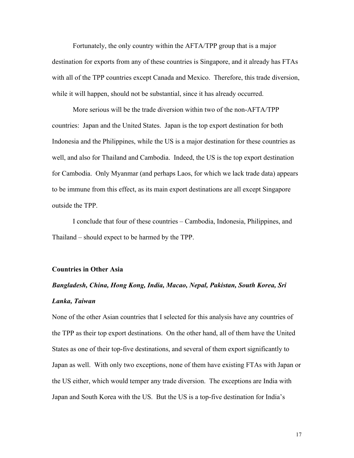Fortunately, the only country within the AFTA/TPP group that is a major destination for exports from any of these countries is Singapore, and it already has FTAs with all of the TPP countries except Canada and Mexico. Therefore, this trade diversion, while it will happen, should not be substantial, since it has already occurred.

More serious will be the trade diversion within two of the non-AFTA/TPP countries: Japan and the United States. Japan is the top export destination for both Indonesia and the Philippines, while the US is a major destination for these countries as well, and also for Thailand and Cambodia. Indeed, the US is the top export destination for Cambodia. Only Myanmar (and perhaps Laos, for which we lack trade data) appears to be immune from this effect, as its main export destinations are all except Singapore outside the TPP.

I conclude that four of these countries – Cambodia, Indonesia, Philippines, and Thailand – should expect to be harmed by the TPP.

#### **Countries in Other Asia**

# *Bangladesh, China, Hong Kong, India, Macao, Nepal, Pakistan, South Korea, Sri Lanka, Taiwan*

None of the other Asian countries that I selected for this analysis have any countries of the TPP as their top export destinations. On the other hand, all of them have the United States as one of their top-five destinations, and several of them export significantly to Japan as well. With only two exceptions, none of them have existing FTAs with Japan or the US either, which would temper any trade diversion. The exceptions are India with Japan and South Korea with the US. But the US is a top-five destination for India's

17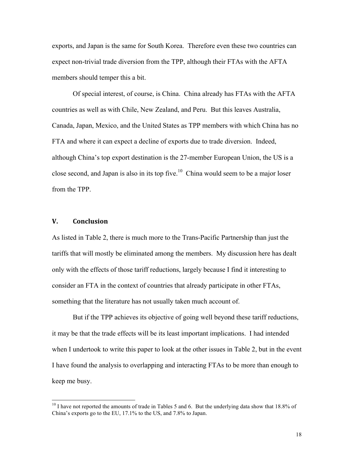exports, and Japan is the same for South Korea. Therefore even these two countries can expect non-trivial trade diversion from the TPP, although their FTAs with the AFTA members should temper this a bit.

Of special interest, of course, is China. China already has FTAs with the AFTA countries as well as with Chile, New Zealand, and Peru. But this leaves Australia, Canada, Japan, Mexico, and the United States as TPP members with which China has no FTA and where it can expect a decline of exports due to trade diversion. Indeed, although China's top export destination is the 27-member European Union, the US is a close second, and Japan is also in its top five.<sup>10</sup> China would seem to be a major loser from the TPP.

#### **V. Conclusion**

As listed in Table 2, there is much more to the Trans-Pacific Partnership than just the tariffs that will mostly be eliminated among the members. My discussion here has dealt only with the effects of those tariff reductions, largely because I find it interesting to consider an FTA in the context of countries that already participate in other FTAs, something that the literature has not usually taken much account of.

But if the TPP achieves its objective of going well beyond these tariff reductions, it may be that the trade effects will be its least important implications. I had intended when I undertook to write this paper to look at the other issues in Table 2, but in the event I have found the analysis to overlapping and interacting FTAs to be more than enough to keep me busy.

 $10$  I have not reported the amounts of trade in Tables 5 and 6. But the underlying data show that 18.8% of China's exports go to the EU, 17.1% to the US, and 7.8% to Japan.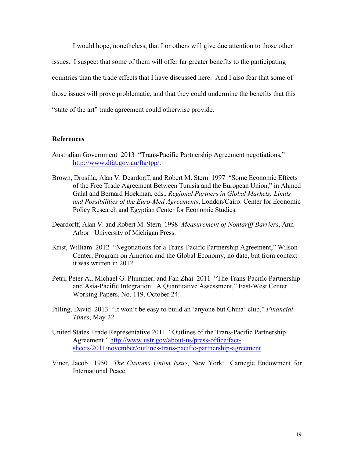I would hope, nonetheless, that I or others will give due attention to those other issues. I suspect that some of them will offer far greater benefits to the participating countries than the trade effects that I have discussed here. And I also fear that some of those issues will prove problematic, and that they could undermine the benefits that this "state of the art" trade agreement could otherwise provide.

#### **References**

- Australian Government 2013 "Trans-Pacific Partnership Agreement negotiations," http://www.dfat.gov.au/fta/tpp/.
- Brown, Drusilla, Alan V. Deardorff, and Robert M. Stern 1997 "Some Economic Effects of the Free Trade Agreement Between Tunisia and the European Union," in Ahmed Galal and Bernard Hoekman, eds., *Regional Partners in Global Markets: Limits and Possibilities of the Euro-Med Agreements*, London/Cairo: Center for Economic Policy Research and Egyptian Center for Economic Studies.
- Deardorff, Alan V. and Robert M. Stern 1998 *Measurement of Nontariff Barriers*, Ann Arbor: University of Michigan Press.
- Krist, William 2012 "Negotiations for a Trans-Pacific Partnership Agreement," Wilson Center, Program on America and the Global Economy, no date, but from context it was written in 2012.
- Petri, Peter A., Michael G. Plummer, and Fan Zhai 2011 "The Trans-Pacific Partnership and Asia-Pacific Integration: A Quantitative Assessment," East-West Center Working Papers, No. 119, October 24.
- Pilling, David 2013 "It won't be easy to build an 'anyone but China' club," *Financial Times*, May 22.
- United States Trade Representative 2011 "Outlines of the Trans-Pacific Partnership Agreement," http://www.ustr.gov/about-us/press-office/factsheets/2011/november/outlines-trans-pacific-partnership-agreement
- Viner, Jacob 1950 *The Customs Union Issue*, New York: Carnegie Endowment for International Peace.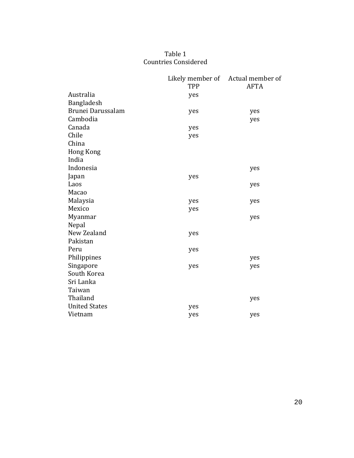# Table 1 Countries Considered

|                      |     | Likely member of Actual member of |
|----------------------|-----|-----------------------------------|
|                      | TPP | <b>AFTA</b>                       |
| Australia            | yes |                                   |
| Bangladesh           |     |                                   |
| Brunei Darussalam    | yes | yes                               |
| Cambodia             |     | yes                               |
| Canada               | yes |                                   |
| Chile                | yes |                                   |
| China                |     |                                   |
| <b>Hong Kong</b>     |     |                                   |
| India                |     |                                   |
| Indonesia            |     | yes                               |
| Japan                | yes |                                   |
| Laos                 |     | yes                               |
| Macao                |     |                                   |
| Malaysia             | yes | yes                               |
| Mexico               | yes |                                   |
| Myanmar              |     | yes                               |
| Nepal                |     |                                   |
| New Zealand          | yes |                                   |
| Pakistan             |     |                                   |
| Peru                 | yes |                                   |
| Philippines          |     | yes                               |
| Singapore            | yes | yes                               |
| South Korea          |     |                                   |
| Sri Lanka            |     |                                   |
| Taiwan               |     |                                   |
| Thailand             |     | yes                               |
| <b>United States</b> | yes |                                   |
| Vietnam              | yes | yes                               |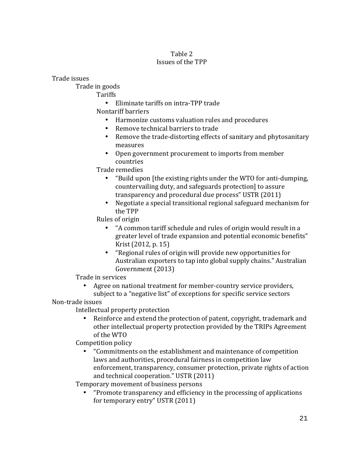## Table 2 Issues of the TPP

Trade issues

Trade in goods

Tariffs

• Eliminate tariffs on intra-TPP trade

Nontariff barriers

- Harmonize customs valuation rules and procedures
- Remove technical barriers to trade
- Remove the trade-distorting effects of sanitary and phytosanitary measures
- Open government procurement to imports from member countries

Trade remedies

- "Build upon [the existing rights under the WTO for anti-dumping, countervailing duty, and safeguards protection] to assure transparency and procedural due process" USTR (2011)
- Negotiate a special transitional regional safeguard mechanism for the TPP

Rules of origin

- "A common tariff schedule and rules of origin would result in a greater level of trade expansion and potential economic benefits" Krist (2012, p. 15)
- "Regional rules of origin will provide new opportunities for Australian exporters to tap into global supply chains." Australian Government (2013)

Trade in services

• Agree on national treatment for member-country service providers, subject to a "negative list" of exceptions for specific service sectors

Non-trade issues

Intellectual property protection

• Reinforce and extend the protection of patent, copyright, trademark and other intellectual property protection provided by the TRIPs Agreement of the WTO

Competition policy

• "Commitments on the establishment and maintenance of competition laws and authorities, procedural fairness in competition law enforcement, transparency, consumer protection, private rights of action and technical cooperation." USTR (2011)

Temporary movement of business persons

"Promote transparency and efficiency in the processing of applications" for temporary entry" USTR (2011)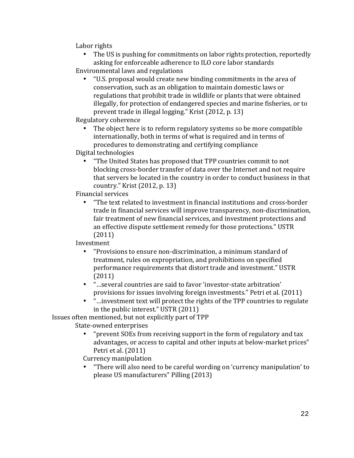Labor rights

- The US is pushing for commitments on labor rights protection, reportedly asking for enforceable adherence to ILO core labor standards
- Environmental laws and regulations
	- "U.S. proposal would create new binding commitments in the area of conservation, such as an obligation to maintain domestic laws or regulations that prohibit trade in wildlife or plants that were obtained illegally, for protection of endangered species and marine fisheries, or to prevent trade in illegal logging." Krist  $(2012, p. 13)$

Regulatory coherence

The object here is to reform regulatory systems so be more compatible internationally, both in terms of what is required and in terms of procedures to demonstrating and certifying compliance

Digital technologies

• "The United States has proposed that TPP countries commit to not blocking cross-border transfer of data over the Internet and not require that servers be located in the country in order to conduct business in that country." Krist  $(2012, p. 13)$ 

Financial services

"The text related to investment in financial institutions and cross-border trade in financial services will improve transparency, non-discrimination, fair treatment of new financial services, and investment protections and an effective dispute settlement remedy for those protections." USTR (2011)

Investment

- "Provisions to ensure non-discrimination, a minimum standard of treatment, rules on expropriation, and prohibitions on specified performance requirements that distort trade and investment." USTR (2011)
- "...several countries are said to favor 'investor-state arbitration' provisions for issues involving foreign investments." Petri et al. (2011)
- "...investment text will protect the rights of the TPP countries to regulate in the public interest." USTR  $(2011)$

Issues often mentioned, but not explicitly part of TPP

State-owned enterprises

• "prevent SOEs from receiving support in the form of regulatory and tax advantages, or access to capital and other inputs at below-market prices" Petri et al. (2011)

Currency manipulation

"There will also need to be careful wording on 'currency manipulation' to please US manufacturers" Pilling (2013)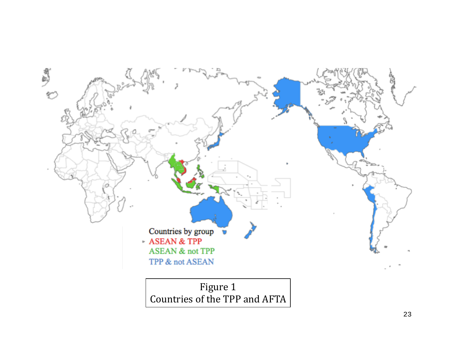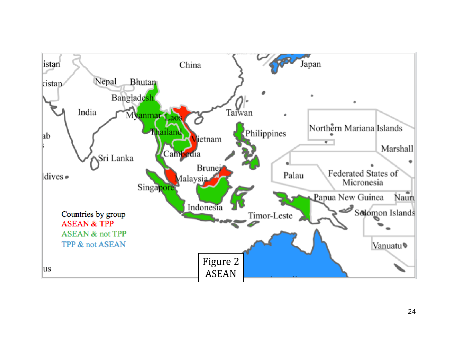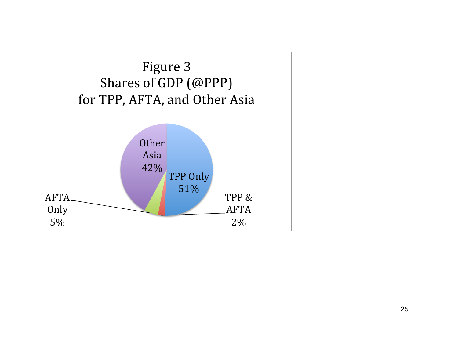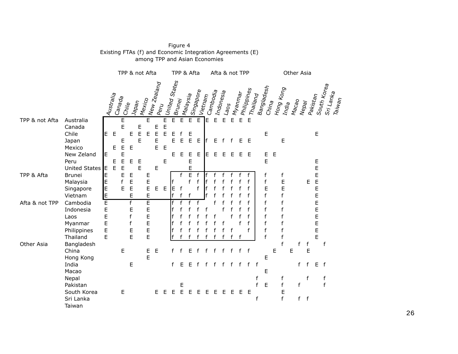|                |                                                                     | TPP & not Afta             |                  |                  |                                         |                                    |                            | TPP & Afta                      |             |                    |                    |                          | Afta & not TPP |                     |              |                               |                | Other Asia          |             |                       |                                      |             |                                                                                         |   |                  |        |                            |                         |                                 |
|----------------|---------------------------------------------------------------------|----------------------------|------------------|------------------|-----------------------------------------|------------------------------------|----------------------------|---------------------------------|-------------|--------------------|--------------------|--------------------------|----------------|---------------------|--------------|-------------------------------|----------------|---------------------|-------------|-----------------------|--------------------------------------|-------------|-----------------------------------------------------------------------------------------|---|------------------|--------|----------------------------|-------------------------|---------------------------------|
|                |                                                                     |                            | Australia        | ICanada<br>Ghile |                                         | <b>IMexico</b><br><sup>Napan</sup> |                            | Wew Zealand<br>$P_{\text{SPI}}$ |             | United States      | Brun <sub>ej</sub> | Ma <sub>laysia</sub>     | Singapore      | Vietna <sub>m</sub> | Cambodia     | Indon <sub>esia</sub><br>Laos |                | Myan <sub>mar</sub> | Philippines | Thailand              | Banglad <sub>esh</sub><br>China      |             | Hong Kong<br>India                                                                      |   | $M$ acao         | Nepay  | Pakistan                   | South Kor <sub>ea</sub> | Sri Lank <sub>a</sub><br>Taiwan |
| TPP & not Afta | Australia<br>Canada<br>Chile                                        | E                          | E                | E<br>E           | E                                       | Е<br>E                             | E<br>Е                     | E<br>E                          | E<br>E<br>Ë | $\mathsf E$<br>Е   | $\overline{E}$     | E<br>E                   | E              | ΙE                  | $\mathsf{E}$ | E                             | $\overline{E}$ | $\mathsf E$         | E           |                       | $\mathsf E$                          |             |                                                                                         |   |                  |        | $\mathsf E$                |                         |                                 |
|                | Japan<br>Mexico                                                     |                            | E                | E<br>E           | E                                       | E                                  |                            | Е<br>E                          | $\mathsf E$ | E                  | Е                  | E                        | E              | f                   | Е            | $\mathsf{f}$                  | f              |                     | E E         |                       |                                      |             | E                                                                                       |   |                  |        |                            |                         |                                 |
|                | New Zeland<br>Peru<br><b>United States</b>                          | E<br>IE.                   | E<br>$\mathsf E$ | E<br>E<br>E      | E                                       | $\mathsf E$<br>E                   |                            | E                               | E           | Е                  | E                  | E<br>E<br>E              | E              | E                   | E            | E                             | E              | E                   | E           |                       | E<br>$\mathsf E$                     | E           |                                                                                         |   |                  |        | $\mathsf E$<br>E           |                         |                                 |
| TPP & Afta     | <b>Brunei</b><br>Malaysia<br>Singapore<br>Vietnam                   | E<br>E<br>E<br>E           |                  | E<br>f<br>E      | E<br>E<br>E<br>E                        |                                    | E<br>E<br>$\mathsf E$<br>E | $E$ $E$                         |             | ΙE<br>$\mathsf{f}$ | f<br>f             | $\overline{E}$<br>f<br>f | f<br>f         |                     |              |                               |                |                     |             |                       | f<br>f<br>E<br>f                     |             | f<br>E<br>E<br>$\mathsf f$                                                              |   |                  | E      | E<br>E<br>E<br>E           |                         |                                 |
| Afta & not TPP | Cambodia<br>Indonesia<br>Laos<br>Myanmar<br>Philippines<br>Thailand | Έ<br>E<br>E<br>E<br>E<br>E |                  |                  | $\overline{f}$<br>E<br>f<br>f<br>E<br>E |                                    | E<br>E<br>E<br>E<br>E<br>E |                                 |             | f<br>f<br>f<br>f   |                    |                          |                |                     |              |                               |                |                     | f<br>f<br>f |                       | f<br>f<br>$\mathsf f$<br>f<br>f<br>f |             | $\mathsf f$<br>$\mathsf f$<br>$\mathsf f$<br>$\mathsf f$<br>$\mathsf{f}$<br>$\mathsf f$ |   |                  |        | E<br>E<br>E<br>E<br>E<br>E |                         |                                 |
| Other Asia     | Bangladesh<br>China<br>Hong Kong                                    |                            |                  | E                |                                         |                                    | E<br>E                     | $\mathsf E$                     |             |                    |                    | F                        |                |                     |              |                               |                | f                   | f           |                       | E                                    | $\mathsf E$ | f                                                                                       | E | f                | f<br>E |                            | $\sf f$                 |                                 |
|                | India<br>Macao                                                      |                            |                  |                  | E                                       |                                    |                            |                                 |             | f                  | Е                  | Е                        |                |                     |              |                               |                |                     | f           | $\mathsf{f}$          | E                                    |             |                                                                                         |   | f                | f      |                            | $E$ f                   |                                 |
|                | Nepal<br>Pakistan<br>South Korea<br>Sri Lanka<br>Taiwan             |                            |                  | E                |                                         |                                    |                            | E.                              | Е           | Е                  | Е<br>E             | Е                        | F              |                     | Е            | Е                             | E              | E                   | E           | f<br>f<br>$\mathsf f$ | $\mathsf E$                          |             | f<br>f<br>E<br>f                                                                        |   | $\mathsf f$<br>f | f<br>f |                            | f<br>f                  |                                 |

Figure 4 Existing FTAs (f) and Economic Integration Agreements (E) among TPP and Asian Economies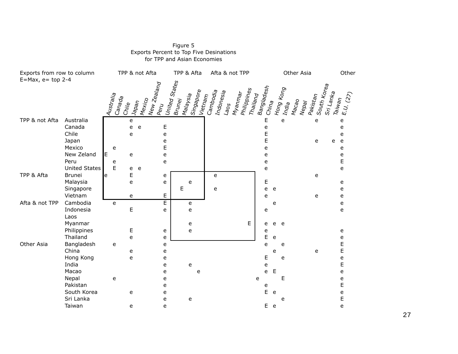| Exports from row to column<br>$E=Max, e=top 2-4$ |                                                                                               | TPP & not Afta |                              |                       |                                                          |                                      | TPP & Afta                                                  |                      |                                           | Afta & not TPP                     |                                                   |             | Other              |                                     |                                     |                                                |  |
|--------------------------------------------------|-----------------------------------------------------------------------------------------------|----------------|------------------------------|-----------------------|----------------------------------------------------------|--------------------------------------|-------------------------------------------------------------|----------------------|-------------------------------------------|------------------------------------|---------------------------------------------------|-------------|--------------------|-------------------------------------|-------------------------------------|------------------------------------------------|--|
|                                                  |                                                                                               |                | Australia<br>Canada<br>Chile | $J_{\text{a}pqn}$     | Wew Zealand<br>Mexico<br>$P_{\mathsf{Pr}_{\mathcal{U}}}$ |                                      | United Sta <sub>tes</sub><br>Mala <sub>ysia</sub><br>Brunej | Singapore<br>Vietnam | Cambodia<br>Indon <sub>esia</sub><br>Laos | Philippines<br>Myan <sub>mar</sub> | Banglad <sub>esh</sub><br>$m_{\sf alip}_{\sf nq}$ | China       | Hong Kong<br>India | $M_{\text{dG}_{\text{O}}}$<br>Nepay | South Kor <sub>ea</sub><br>Pakistan | Sri Lank <sub>a</sub><br>$E.U.$ (27)<br>Taiwan |  |
| TPP & not Afta                                   | Australia<br>Canada<br>Chile<br>Japan<br>Mexico<br>New Zeland<br>Peru<br><b>United States</b> | E              | e<br>e<br>E                  | e<br>e<br>e<br>e<br>e | e<br>e                                                   | $\mathsf E$<br>e<br>e<br>E<br>e<br>e |                                                             |                      |                                           |                                    | E<br>e<br>E<br>E<br>e<br>e<br>e<br>e              |             | e                  |                                     | e<br>e                              | e<br>e<br>e<br>e<br>e<br>e<br>e<br>E<br>e      |  |
| TPP & Afta                                       | <b>Brunei</b><br>Malaysia<br>Singapore<br>Vietnam                                             | le             |                              | E<br>e<br>e           |                                                          | e<br>e<br>E                          | е<br>E                                                      |                      | e<br>e                                    |                                    | E<br>e<br>e                                       | e           |                    |                                     | e<br>e                              | e<br>e<br>e                                    |  |
| Afta & not TPP                                   | Cambodia<br>Indonesia<br>Laos<br>Myanmar<br>Philippines                                       |                | e                            | E<br>Е                |                                                          | $\overline{E}$<br>e<br>e             | e<br>e<br>e<br>e                                            |                      |                                           | E                                  | e<br>e<br>e                                       | e<br>e      | e                  |                                     |                                     | e<br>e<br>e                                    |  |
| Other Asia                                       | Thailand<br>Bangladesh<br>China<br>Hong Kong<br>India<br>Macao                                |                | e                            | e<br>e<br>e           |                                                          | e<br>e<br>e<br>e<br>e<br>e           | e                                                           | e                    |                                           |                                    | E<br>e<br>E<br>e<br>e                             | e<br>e<br>E | e<br>e             |                                     | e                                   | e<br>E<br>E<br>e<br>E<br>e                     |  |
|                                                  | Nepal<br>Pakistan<br>South Korea<br>Sri Lanka<br>Taiwan                                       |                | e                            | e<br>e                |                                                          | e<br>e<br>e<br>e<br>e                | е                                                           |                      |                                           |                                    | e<br>e<br>E                                       | e<br>E e    | E<br>e             |                                     |                                     | e<br>E<br>e<br>E<br>e                          |  |

#### Figure 5 Exports Percent to Top Five Desinations for TPP and Asian Economies